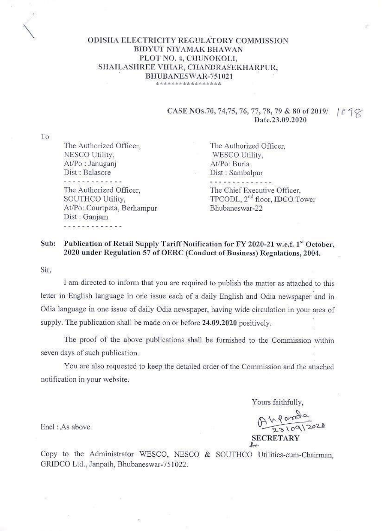### ODISHA ELECTRICITY REGULATORY COMMISSION BIDYUT NIYAMAK BHAWAN PLOT NO. 4, CHUNOKOLI. SHAILASHREE VIIIAR, CHANDRASEKHARPUR, BHUBANESWAR-751021 \*\*\*\*\*\*\*\*\*\*\*\*\*\*\*\*\*

#### CASE NOs.70, 74,75, 76, 77, 78, 79 & 80 of 2019/  $1098$ Date.23.09.2020

To

The Authorized Officer, NESCO Utility, At/Po: Janugani Dist: Balasore The Authorized Officer. SOUTHCO Utility. At/Po: Courtpeta, Berhampur Dist: Ganjam

The Authorized Officer, WESCO Utility, At/Po: Burla Dist: Sambalpur The Chief Executive Officer. TPCODL, 2<sup>nd</sup> floor, IDCO Tower Bhubaneswar-22

#### Publication of Retail Supply Tariff Notification for FY 2020-21 w.e.f. 1st October. Sub: 2020 under Regulation 57 of OERC (Conduct of Business) Regulations, 2004.

Sir.

I am directed to inform that you are required to publish the matter as attached to this letter in English language in one issue each of a daily English and Odia newspaper and in Odia language in one issue of daily Odia newspaper, having wide circulation in your area of supply. The publication shall be made on or before 24.09.2020 positively.

The proof of the above publications shall be furnished to the Commission within seven days of such publication.

You are also requested to keep the detailed order of the Commission and the attached notification in your website.

Yours faithfully,

Anparada

**SECRETARY**  $\ell$ 

Encl: As above

Copy to the Administrator WESCO, NESCO & SOUTHCO Utilities-cum-Chairman, GRIDCO Ltd., Janpath, Bhubaneswar-751022.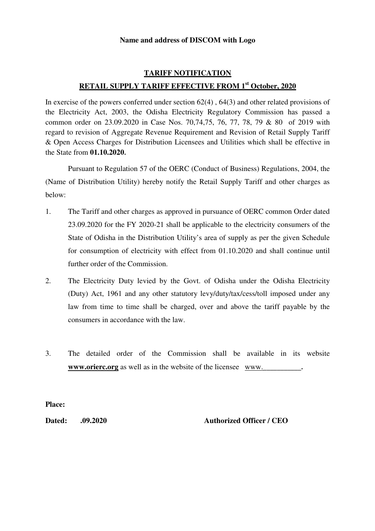### **Name and address of DISCOM with Logo**

## **TARIFF NOTIFICATION RETAIL SUPPLY TARIFF EFFECTIVE FROM 1st October, 2020**

In exercise of the powers conferred under section 62(4) , 64(3) and other related provisions of the Electricity Act, 2003, the Odisha Electricity Regulatory Commission has passed a common order on 23.09.2020 in Case Nos. 70,74,75, 76, 77, 78, 79 & 80 of 2019 with regard to revision of Aggregate Revenue Requirement and Revision of Retail Supply Tariff & Open Access Charges for Distribution Licensees and Utilities which shall be effective in the State from **01.10.2020**.

Pursuant to Regulation 57 of the OERC (Conduct of Business) Regulations, 2004, the (Name of Distribution Utility) hereby notify the Retail Supply Tariff and other charges as below:

- 1.The Tariff and other charges as approved in pursuance of OERC common Order dated 23.09.2020 for the FY 2020-21 shall be applicable to the electricity consumers of the State of Odisha in the Distribution Utility's area of supply as per the given Schedule for consumption of electricity with effect from 01.10.2020 and shall continue until further order of the Commission.
- 2. The Electricity Duty levied by the Govt. of Odisha under the Odisha Electricity (Duty) Act, 1961 and any other statutory levy/duty/tax/cess/toll imposed under any law from time to time shall be charged, over and above the tariff payable by the consumers in accordance with the law.
- 3. The detailed order of the Commission shall be available in its website **www.orierc.org** as well as in the website of the licensee www.

**Place:** 

**Dated: .09.2020 Authorized Officer / CEO**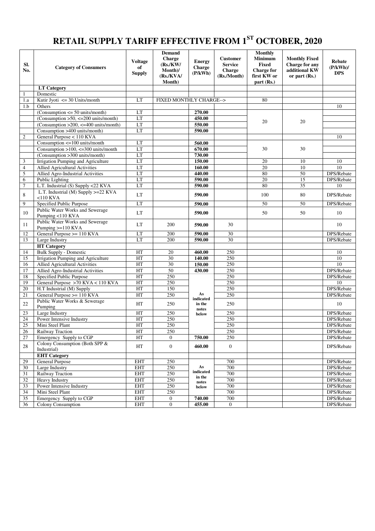# **RETAIL SUPPLY TARIFF EFFECTIVE FROM 1ST OCTOBER, 2020**

| SI.<br>No.       | <b>Category of Consumers</b>                           | <b>Voltage</b><br>of<br><b>Supply</b> | <b>Demand</b><br>Charge<br>(Rs/KW)<br>Month)/<br>(Rs/KVA/<br>Month) | <b>Energy</b><br><b>Charge</b><br>(P/kWh) | <b>Customer</b><br><b>Service</b><br>Charge<br>(Rs./Month) | Monthly<br><b>Minimum</b><br><b>Fixed</b><br><b>Charge for</b><br>first KW or<br>part(Rs.) | <b>Monthly Fixed</b><br>Charge for any<br>additional KW<br>or part $(Rs.)$ | <b>Rebate</b><br>$(P/kWh)$ /<br><b>DPS</b> |
|------------------|--------------------------------------------------------|---------------------------------------|---------------------------------------------------------------------|-------------------------------------------|------------------------------------------------------------|--------------------------------------------------------------------------------------------|----------------------------------------------------------------------------|--------------------------------------------|
|                  | <b>LT</b> Category                                     |                                       |                                                                     |                                           |                                                            |                                                                                            |                                                                            |                                            |
| -1               | Domestic                                               |                                       |                                                                     |                                           |                                                            |                                                                                            |                                                                            |                                            |
| 1.a              | Kutir Jyoti $\leq$ 30 Units/month                      | LT                                    | FIXED MONTHLY CHARGE-->                                             |                                           |                                                            | 80                                                                                         |                                                                            |                                            |
| 1.b              | Others                                                 |                                       |                                                                     |                                           |                                                            |                                                                                            |                                                                            | 10                                         |
|                  | $(Consumption \le 50 units/month)$                     | LT                                    |                                                                     | 270.00                                    |                                                            |                                                                                            |                                                                            |                                            |
|                  | $(Consumption > 50, \le 200 units/month)$              | LT                                    |                                                                     | 450.00                                    |                                                            | 20                                                                                         | 20                                                                         |                                            |
|                  | (Consumption > 200, $\leq$ -400 units/month)           | LT                                    |                                                                     | 550.00                                    |                                                            |                                                                                            |                                                                            |                                            |
|                  | Consumption >400 units/month)                          | LT                                    |                                                                     | 590.00                                    |                                                            |                                                                                            |                                                                            |                                            |
| $\overline{2}$   | General Purpose < 110 KVA                              |                                       |                                                                     |                                           |                                                            |                                                                                            |                                                                            | 10                                         |
|                  | Consumption $\leq$ 100 units/month                     | LT                                    |                                                                     | 560.00                                    |                                                            |                                                                                            |                                                                            |                                            |
|                  | Consumption >100, <= 300 units/month                   | LT                                    |                                                                     | 670.00                                    |                                                            | 30                                                                                         | 30                                                                         |                                            |
|                  | (Consumption >300 units/month)                         | LT                                    |                                                                     | 730.00                                    |                                                            |                                                                                            |                                                                            |                                            |
| $\mathfrak{Z}$   | Irrigation Pumping and Agriculture                     | LT                                    |                                                                     | 150.00                                    |                                                            | 20                                                                                         | 10                                                                         | 10                                         |
| $\overline{4}$   | <b>Allied Agricultural Activities</b>                  | LT                                    |                                                                     | 160.00                                    |                                                            | 20                                                                                         | 10                                                                         | 10                                         |
| 5                | Allied Agro-Industrial Activities                      | LT                                    |                                                                     | 440.00                                    |                                                            | 80                                                                                         | 50                                                                         | DPS/Rebate                                 |
| 6                | Public Lighting                                        | LT                                    |                                                                     | 590.00                                    |                                                            | 20                                                                                         | $\overline{15}$                                                            | DPS/Rebate                                 |
| $\boldsymbol{7}$ | L.T. Industrial (S) Supply <22 KVA                     | LT                                    |                                                                     | 590.00                                    |                                                            | 80                                                                                         | 35                                                                         | 10                                         |
| 8                | L.T. Industrial (M) Supply >=22 KVA<br>$<$ 110 KVA     | LT                                    |                                                                     | 590.00                                    |                                                            | 100                                                                                        | 80                                                                         | DPS/Rebate                                 |
| 9                | Specified Public Purpose                               | LT                                    |                                                                     | 590.00                                    |                                                            | 50                                                                                         | 50                                                                         | DPS/Rebate                                 |
| 10               | Public Water Works and Sewerage<br>Pumping <110 KVA    | LT                                    |                                                                     | 590.00                                    |                                                            | 50                                                                                         | 50                                                                         | 10                                         |
| 11               | Public Water Works and Sewerage<br>Pumping $>=110$ KVA | LT                                    | 200                                                                 | 590.00                                    | 30                                                         |                                                                                            |                                                                            | 10                                         |
| 12               | General Purpose >= 110 KVA                             | LT                                    | 200                                                                 | 590.00                                    | $\overline{30}$                                            |                                                                                            |                                                                            | DPS/Rebate                                 |
| 13               | Large Industry                                         | LT                                    | 200                                                                 | 590.00                                    | 30                                                         |                                                                                            |                                                                            | DPS/Rebate                                 |
|                  | <b>HT</b> Category                                     |                                       |                                                                     |                                           |                                                            |                                                                                            |                                                                            |                                            |
| 14               | <b>Bulk Supply - Domestic</b>                          | HT                                    | 20                                                                  | 460.00                                    | 250                                                        |                                                                                            |                                                                            | 10                                         |
| 15               | Irrigation Pumping and Agriculture                     | HT                                    | 30                                                                  | 140.00                                    | 250                                                        |                                                                                            |                                                                            | 10                                         |
| 16               | <b>Allied Agricultural Activities</b>                  | HT                                    | 30                                                                  | 150.00                                    | 250                                                        |                                                                                            |                                                                            | 10                                         |
| 17               | Allied Agro-Industrial Activities                      | HT                                    | 50                                                                  | 430.00                                    | 250                                                        |                                                                                            |                                                                            | DPS/Rebate                                 |
| 18               | Specified Public Purpose                               | HT                                    | 250                                                                 |                                           | 250                                                        |                                                                                            |                                                                            | DPS/Rebate                                 |
| 19               | General Purpose >70 KVA < 110 KVA                      | HT                                    | 250                                                                 |                                           | 250                                                        |                                                                                            |                                                                            | 10                                         |
| 20               | H.T Industrial (M) Supply                              | HT                                    | 150                                                                 |                                           | 250                                                        |                                                                                            |                                                                            | DPS/Rebate                                 |
| 21               | General Purpose >= 110 KVA                             | HT                                    | 250                                                                 | As<br>indicated                           | 250                                                        |                                                                                            |                                                                            | DPS/Rebate                                 |
| 22               | Public Water Works & Sewerage<br>Pumping               | HT                                    | 250                                                                 | in the<br>notes                           | 250                                                        |                                                                                            |                                                                            | 10                                         |
| 23               | Large Industry                                         | HT                                    | 250                                                                 | below                                     | 250                                                        |                                                                                            |                                                                            | DPS/Rebate                                 |
| 24               | Power Intensive Industry                               | HT                                    | 250                                                                 |                                           | 250                                                        |                                                                                            |                                                                            | DPS/Rebate                                 |
| 25               | Mini Steel Plant                                       | HT                                    | 250                                                                 |                                           | 250                                                        |                                                                                            |                                                                            | DPS/Rebate                                 |
| 26               | Railway Traction                                       | HT                                    | 250                                                                 |                                           | 250                                                        |                                                                                            |                                                                            | DPS/Rebate                                 |
| 27               | Emergency Supply to CGP                                | HT                                    | $\theta$                                                            | 750.00                                    | 250                                                        |                                                                                            |                                                                            | DPS/Rebate                                 |
| 28               | Colony Consumption (Both SPP &<br>Industrial)          | HT                                    | $\boldsymbol{0}$                                                    | 460.00                                    | $\boldsymbol{0}$                                           |                                                                                            |                                                                            | DPS/Rebate                                 |
|                  | <b>EHT</b> Category                                    |                                       |                                                                     |                                           |                                                            |                                                                                            |                                                                            |                                            |
| 29               | <b>General Purpose</b>                                 | <b>EHT</b>                            | 250                                                                 |                                           | 700                                                        |                                                                                            |                                                                            | DPS/Rebate                                 |
| 30               | Large Industry                                         | <b>EHT</b>                            | 250                                                                 | As                                        | 700                                                        |                                                                                            |                                                                            | DPS/Rebate                                 |
| 31               | Railway Traction                                       | EHT                                   | 250                                                                 | indicated<br>in the                       | 700                                                        |                                                                                            |                                                                            | DPS/Rebate                                 |
| 32               | Heavy Industry                                         | <b>EHT</b>                            | 250                                                                 | notes                                     | 700                                                        |                                                                                            |                                                                            | DPS/Rebate                                 |
| 33               | Power Intensive Industry                               | <b>EHT</b>                            | 250                                                                 | below                                     | 700                                                        |                                                                                            |                                                                            | DPS/Rebate                                 |
| 34               | Mini Steel Plant                                       | <b>EHT</b>                            | 250                                                                 |                                           | 700                                                        |                                                                                            |                                                                            | DPS/Rebate                                 |
| 35               | Emergency Supply to CGP                                | <b>EHT</b>                            | $\mathbf{0}$                                                        | 740.00                                    | 700                                                        |                                                                                            |                                                                            | DPS/Rebate                                 |
| 36               | Colony Consumption                                     | <b>EHT</b>                            | $\boldsymbol{0}$                                                    | 455.00                                    | $\boldsymbol{0}$                                           |                                                                                            |                                                                            | DPS/Rebate                                 |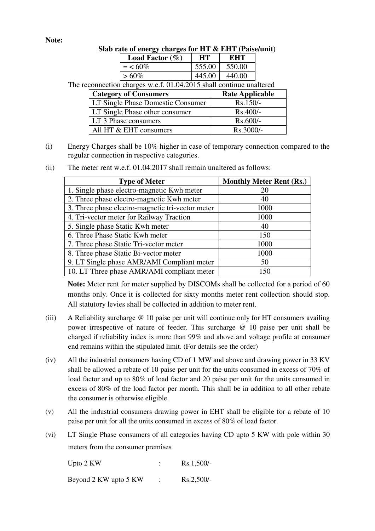## **Note:**

| <b>Load Factor</b> $(\%)$ |        | KHT.   |  |
|---------------------------|--------|--------|--|
| $=$ < 60%                 | 555.00 | 550.00 |  |
| $> 60\%$                  | 445.00 | 440.00 |  |
|                           |        |        |  |

The reconnection charges w.e.f. 01.04.2015 shall continue unaltered

| <b>Category of Consumers</b>      | <b>Rate Applicable</b> |
|-----------------------------------|------------------------|
| LT Single Phase Domestic Consumer | $Rs.150/-$             |
| LT Single Phase other consumer    | Rs.400/-               |
| LT 3 Phase consumers              | $Rs.600/-$             |
| All HT & EHT consumers            | Rs.3000/-              |

(i) Energy Charges shall be 10% higher in case of temporary connection compared to the regular connection in respective categories.

|  | (ii) |  |  |  | The meter rent w.e.f. 01.04.2017 shall remain unaltered as follows: |
|--|------|--|--|--|---------------------------------------------------------------------|
|--|------|--|--|--|---------------------------------------------------------------------|

| <b>Type of Meter</b>                             | <b>Monthly Meter Rent (Rs.)</b> |
|--------------------------------------------------|---------------------------------|
| 1. Single phase electro-magnetic Kwh meter       | <b>20</b>                       |
| 2. Three phase electro-magnetic Kwh meter        | 40                              |
| 3. Three phase electro-magnetic tri-vector meter | 1000                            |
| 4. Tri-vector meter for Railway Traction         | 1000                            |
| 5. Single phase Static Kwh meter                 | 40                              |
| 6. Three Phase Static Kwh meter                  | 150                             |
| 7. Three phase Static Tri-vector meter           | 1000                            |
| 8. Three phase Static Bi-vector meter            | 1000                            |
| 9. LT Single phase AMR/AMI Compliant meter       | 50                              |
| 10. LT Three phase AMR/AMI compliant meter       | 150                             |

**Note:** Meter rent for meter supplied by DISCOMs shall be collected for a period of 60 months only. Once it is collected for sixty months meter rent collection should stop. All statutory levies shall be collected in addition to meter rent.

- (iii) A Reliability surcharge @ 10 paise per unit will continue only for HT consumers availing power irrespective of nature of feeder. This surcharge @ 10 paise per unit shall be charged if reliability index is more than 99% and above and voltage profile at consumer end remains within the stipulated limit. (For details see the order)
- (iv) All the industrial consumers having CD of 1 MW and above and drawing power in 33 KV shall be allowed a rebate of 10 paise per unit for the units consumed in excess of 70% of load factor and up to 80% of load factor and 20 paise per unit for the units consumed in excess of 80% of the load factor per month. This shall be in addition to all other rebate the consumer is otherwise eligible.
- (v) All the industrial consumers drawing power in EHT shall be eligible for a rebate of 10 paise per unit for all the units consumed in excess of 80% of load factor.
- (vi) LT Single Phase consumers of all categories having CD upto 5 KW with pole within 30 meters from the consumer premises

| Upto 2 KW             | $Rs.1,500/-$ |
|-----------------------|--------------|
| Beyond 2 KW upto 5 KW | $Rs.2,500/-$ |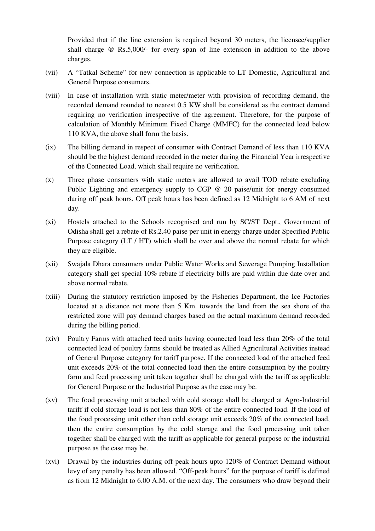Provided that if the line extension is required beyond 30 meters, the licensee/supplier shall charge @ Rs.5,000/- for every span of line extension in addition to the above charges.

- (vii) A "Tatkal Scheme" for new connection is applicable to LT Domestic, Agricultural and General Purpose consumers.
- (viii) In case of installation with static meter/meter with provision of recording demand, the recorded demand rounded to nearest 0.5 KW shall be considered as the contract demand requiring no verification irrespective of the agreement. Therefore, for the purpose of calculation of Monthly Minimum Fixed Charge (MMFC) for the connected load below 110 KVA, the above shall form the basis.
- (ix) The billing demand in respect of consumer with Contract Demand of less than 110 KVA should be the highest demand recorded in the meter during the Financial Year irrespective of the Connected Load, which shall require no verification.
- (x) Three phase consumers with static meters are allowed to avail TOD rebate excluding Public Lighting and emergency supply to CGP @ 20 paise/unit for energy consumed during off peak hours. Off peak hours has been defined as 12 Midnight to 6 AM of next day.
- (xi) Hostels attached to the Schools recognised and run by SC/ST Dept., Government of Odisha shall get a rebate of Rs.2.40 paise per unit in energy charge under Specified Public Purpose category (LT / HT) which shall be over and above the normal rebate for which they are eligible.
- (xii) Swajala Dhara consumers under Public Water Works and Sewerage Pumping Installation category shall get special 10% rebate if electricity bills are paid within due date over and above normal rebate.
- (xiii) During the statutory restriction imposed by the Fisheries Department, the Ice Factories located at a distance not more than 5 Km. towards the land from the sea shore of the restricted zone will pay demand charges based on the actual maximum demand recorded during the billing period.
- (xiv) Poultry Farms with attached feed units having connected load less than 20% of the total connected load of poultry farms should be treated as Allied Agricultural Activities instead of General Purpose category for tariff purpose. If the connected load of the attached feed unit exceeds 20% of the total connected load then the entire consumption by the poultry farm and feed processing unit taken together shall be charged with the tariff as applicable for General Purpose or the Industrial Purpose as the case may be.
- (xv) The food processing unit attached with cold storage shall be charged at Agro-Industrial tariff if cold storage load is not less than 80% of the entire connected load. If the load of the food processing unit other than cold storage unit exceeds 20% of the connected load, then the entire consumption by the cold storage and the food processing unit taken together shall be charged with the tariff as applicable for general purpose or the industrial purpose as the case may be.
- (xvi) Drawal by the industries during off-peak hours upto 120% of Contract Demand without levy of any penalty has been allowed. "Off-peak hours" for the purpose of tariff is defined as from 12 Midnight to 6.00 A.M. of the next day. The consumers who draw beyond their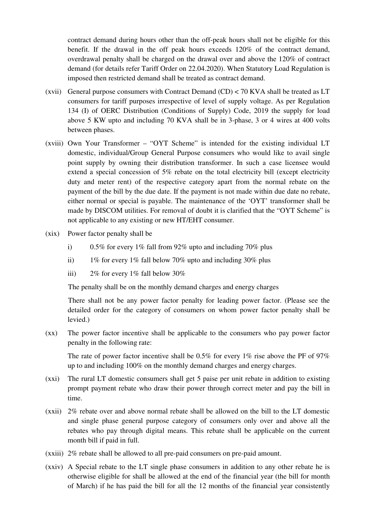contract demand during hours other than the off-peak hours shall not be eligible for this benefit. If the drawal in the off peak hours exceeds 120% of the contract demand, overdrawal penalty shall be charged on the drawal over and above the 120% of contract demand (for details refer Tariff Order on 22.04.2020). When Statutory Load Regulation is imposed then restricted demand shall be treated as contract demand.

- (xvii) General purpose consumers with Contract Demand  $(CD) < 70$  KVA shall be treated as LT consumers for tariff purposes irrespective of level of supply voltage. As per Regulation 134 (I) of OERC Distribution (Conditions of Supply) Code, 2019 the supply for load above 5 KW upto and including 70 KVA shall be in 3-phase, 3 or 4 wires at 400 volts between phases.
- (xviii) Own Your Transformer "OYT Scheme" is intended for the existing individual LT domestic, individual/Group General Purpose consumers who would like to avail single point supply by owning their distribution transformer. In such a case licensee would extend a special concession of 5% rebate on the total electricity bill (except electricity duty and meter rent) of the respective category apart from the normal rebate on the payment of the bill by the due date. If the payment is not made within due date no rebate, either normal or special is payable. The maintenance of the 'OYT' transformer shall be made by DISCOM utilities. For removal of doubt it is clarified that the "OYT Scheme" is not applicable to any existing or new HT/EHT consumer.
- (xix) Power factor penalty shall be
	- i) 0.5% for every 1% fall from 92% upto and including 70% plus
	- ii) 1% for every 1% fall below 70% upto and including 30% plus
	- iii) 2% for every 1% fall below 30%

The penalty shall be on the monthly demand charges and energy charges

 There shall not be any power factor penalty for leading power factor. (Please see the detailed order for the category of consumers on whom power factor penalty shall be levied.)

(xx) The power factor incentive shall be applicable to the consumers who pay power factor penalty in the following rate:

The rate of power factor incentive shall be  $0.5\%$  for every 1% rise above the PF of 97% up to and including 100% on the monthly demand charges and energy charges.

- (xxi) The rural LT domestic consumers shall get 5 paise per unit rebate in addition to existing prompt payment rebate who draw their power through correct meter and pay the bill in time.
- (xxii) 2% rebate over and above normal rebate shall be allowed on the bill to the LT domestic and single phase general purpose category of consumers only over and above all the rebates who pay through digital means. This rebate shall be applicable on the current month bill if paid in full.
- (xxiii) 2% rebate shall be allowed to all pre-paid consumers on pre-paid amount.
- (xxiv) A Special rebate to the LT single phase consumers in addition to any other rebate he is otherwise eligible for shall be allowed at the end of the financial year (the bill for month of March) if he has paid the bill for all the 12 months of the financial year consistently